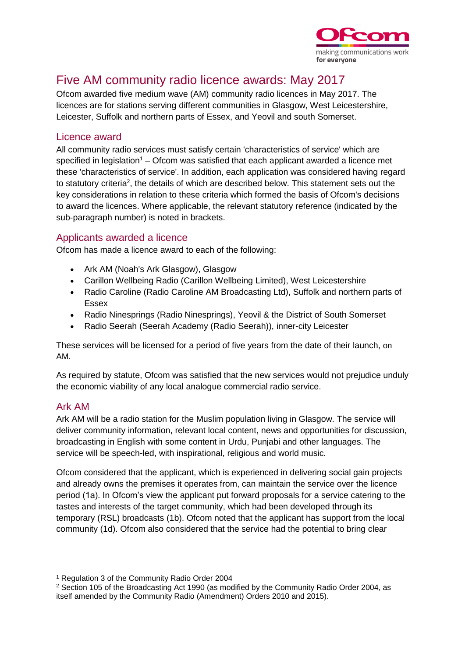

# Five AM community radio licence awards: May 2017

Ofcom awarded five medium wave (AM) community radio licences in May 2017. The licences are for stations serving different communities in Glasgow, West Leicestershire, Leicester, Suffolk and northern parts of Essex, and Yeovil and south Somerset.

## Licence award

All community radio services must satisfy certain 'characteristics of service' which are specified in legislation<sup>1</sup> – Ofcom was satisfied that each applicant awarded a licence met these 'characteristics of service'. In addition, each application was considered having regard to statutory criteria<sup>2</sup>, the details of which are described below. This statement sets out the key considerations in relation to these criteria which formed the basis of Ofcom's decisions to award the licences. Where applicable, the relevant statutory reference (indicated by the sub-paragraph number) is noted in brackets.

# Applicants awarded a licence

Ofcom has made a licence award to each of the following:

- Ark AM (Noah's Ark Glasgow), Glasgow
- Carillon Wellbeing Radio (Carillon Wellbeing Limited), West Leicestershire
- Radio Caroline (Radio Caroline AM Broadcasting Ltd), Suffolk and northern parts of Essex
- Radio Ninesprings (Radio Ninesprings), Yeovil & the District of South Somerset
- Radio Seerah (Seerah Academy (Radio Seerah)), inner-city Leicester

These services will be licensed for a period of five years from the date of their launch, on AM.

As required by statute, Ofcom was satisfied that the new services would not prejudice unduly the economic viability of any local analogue commercial radio service.

# Ark AM

Ark AM will be a radio station for the Muslim population living in Glasgow. The service will deliver community information, relevant local content, news and opportunities for discussion, broadcasting in English with some content in Urdu, Punjabi and other languages. The service will be speech-led, with inspirational, religious and world music.

Ofcom considered that the applicant, which is experienced in delivering social gain projects and already owns the premises it operates from, can maintain the service over the licence period (1a). In Ofcom's view the applicant put forward proposals for a service catering to the tastes and interests of the target community, which had been developed through its temporary (RSL) broadcasts (1b). Ofcom noted that the applicant has support from the local community (1d). Ofcom also considered that the service had the potential to bring clear

<sup>-</sup><sup>1</sup> Regulation 3 of the Community Radio Order 2004

<sup>2</sup> Section 105 of the Broadcasting Act 1990 (as modified by the Community Radio Order 2004, as itself amended by the Community Radio (Amendment) Orders 2010 and 2015).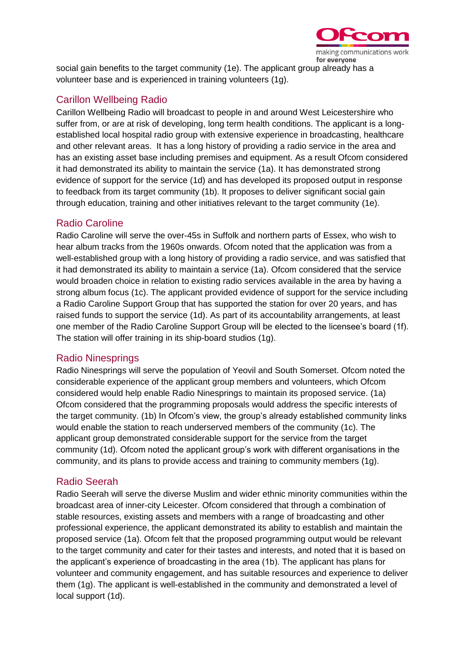

social gain benefits to the target community (1e). The applicant group already has a volunteer base and is experienced in training volunteers (1g).

## Carillon Wellbeing Radio

Carillon Wellbeing Radio will broadcast to people in and around West Leicestershire who suffer from, or are at risk of developing, long term health conditions. The applicant is a longestablished local hospital radio group with extensive experience in broadcasting, healthcare and other relevant areas. It has a long history of providing a radio service in the area and has an existing asset base including premises and equipment. As a result Ofcom considered it had demonstrated its ability to maintain the service (1a). It has demonstrated strong evidence of support for the service (1d) and has developed its proposed output in response to feedback from its target community (1b). It proposes to deliver significant social gain through education, training and other initiatives relevant to the target community (1e).

## Radio Caroline

Radio Caroline will serve the over-45s in Suffolk and northern parts of Essex, who wish to hear album tracks from the 1960s onwards. Ofcom noted that the application was from a well-established group with a long history of providing a radio service, and was satisfied that it had demonstrated its ability to maintain a service (1a). Ofcom considered that the service would broaden choice in relation to existing radio services available in the area by having a strong album focus (1c). The applicant provided evidence of support for the service including a Radio Caroline Support Group that has supported the station for over 20 years, and has raised funds to support the service (1d). As part of its accountability arrangements, at least one member of the Radio Caroline Support Group will be elected to the licensee's board (1f). The station will offer training in its ship-board studios (1g).

#### Radio Ninesprings

Radio Ninesprings will serve the population of Yeovil and South Somerset. Ofcom noted the considerable experience of the applicant group members and volunteers, which Ofcom considered would help enable Radio Ninesprings to maintain its proposed service. (1a) Ofcom considered that the programming proposals would address the specific interests of the target community. (1b) In Ofcom's view, the group's already established community links would enable the station to reach underserved members of the community (1c). The applicant group demonstrated considerable support for the service from the target community (1d). Ofcom noted the applicant group's work with different organisations in the community, and its plans to provide access and training to community members (1g).

# Radio Seerah

Radio Seerah will serve the diverse Muslim and wider ethnic minority communities within the broadcast area of inner-city Leicester. Ofcom considered that through a combination of stable resources, existing assets and members with a range of broadcasting and other professional experience, the applicant demonstrated its ability to establish and maintain the proposed service (1a). Ofcom felt that the proposed programming output would be relevant to the target community and cater for their tastes and interests, and noted that it is based on the applicant's experience of broadcasting in the area (1b). The applicant has plans for volunteer and community engagement, and has suitable resources and experience to deliver them (1g). The applicant is well-established in the community and demonstrated a level of local support (1d).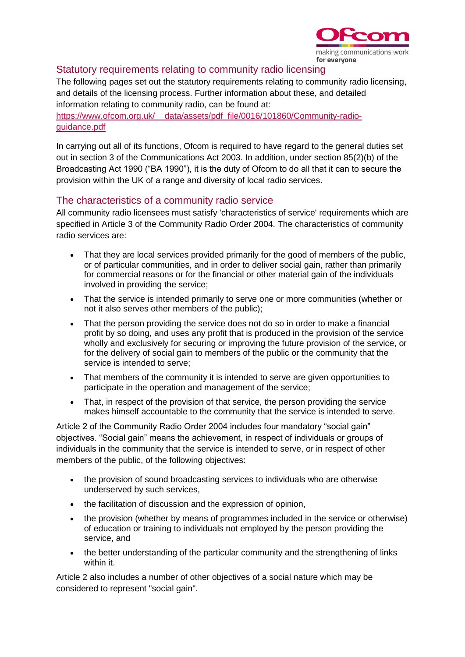

## Statutory requirements relating to community radio licensing

The following pages set out the statutory requirements relating to community radio licensing, and details of the licensing process. Further information about these, and detailed information relating to community radio, can be found at:

https://www.ofcom.org.uk/ data/assets/pdf file/0016/101860/Community-radio[guidance.pdf](https://www.ofcom.org.uk/__data/assets/pdf_file/0016/101860/Community-radio-guidance.pdf)

In carrying out all of its functions, Ofcom is required to have regard to the general duties set out in section 3 of the Communications Act 2003. In addition, under section 85(2)(b) of the Broadcasting Act 1990 ("BA 1990"), it is the duty of Ofcom to do all that it can to secure the provision within the UK of a range and diversity of local radio services.

## The characteristics of a community radio service

All community radio licensees must satisfy 'characteristics of service' requirements which are specified in Article 3 of the Community Radio Order 2004. The characteristics of community radio services are:

- That they are local services provided primarily for the good of members of the public, or of particular communities, and in order to deliver social gain, rather than primarily for commercial reasons or for the financial or other material gain of the individuals involved in providing the service;
- That the service is intended primarily to serve one or more communities (whether or not it also serves other members of the public);
- That the person providing the service does not do so in order to make a financial profit by so doing, and uses any profit that is produced in the provision of the service wholly and exclusively for securing or improving the future provision of the service, or for the delivery of social gain to members of the public or the community that the service is intended to serve;
- That members of the community it is intended to serve are given opportunities to participate in the operation and management of the service;
- That, in respect of the provision of that service, the person providing the service makes himself accountable to the community that the service is intended to serve.

Article 2 of the Community Radio Order 2004 includes four mandatory "social gain" objectives. "Social gain" means the achievement, in respect of individuals or groups of individuals in the community that the service is intended to serve, or in respect of other members of the public, of the following objectives:

- the provision of sound broadcasting services to individuals who are otherwise underserved by such services,
- the facilitation of discussion and the expression of opinion,
- the provision (whether by means of programmes included in the service or otherwise) of education or training to individuals not employed by the person providing the service, and
- the better understanding of the particular community and the strengthening of links within it.

Article 2 also includes a number of other objectives of a social nature which may be considered to represent "social gain".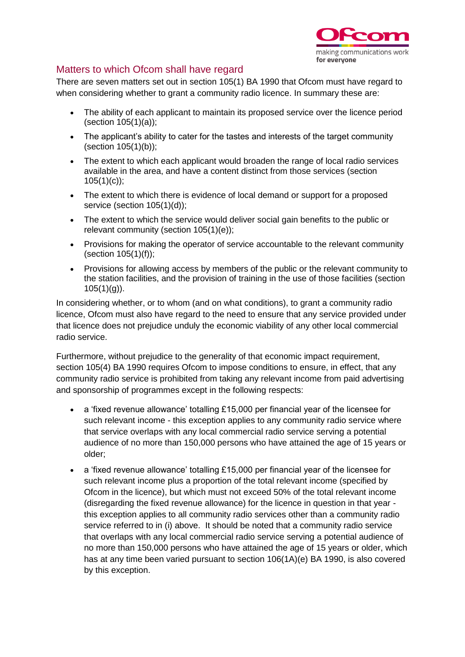

# Matters to which Ofcom shall have regard

There are seven matters set out in section 105(1) BA 1990 that Ofcom must have regard to when considering whether to grant a community radio licence. In summary these are:

- The ability of each applicant to maintain its proposed service over the licence period (section 105(1)(a));
- The applicant's ability to cater for the tastes and interests of the target community (section 105(1)(b));
- The extent to which each applicant would broaden the range of local radio services available in the area, and have a content distinct from those services (section  $105(1)(c)$ ;
- The extent to which there is evidence of local demand or support for a proposed service (section 105(1)(d));
- The extent to which the service would deliver social gain benefits to the public or relevant community (section 105(1)(e));
- Provisions for making the operator of service accountable to the relevant community (section 105(1)(f));
- Provisions for allowing access by members of the public or the relevant community to the station facilities, and the provision of training in the use of those facilities (section  $105(1)(q)$ ).

In considering whether, or to whom (and on what conditions), to grant a community radio licence, Ofcom must also have regard to the need to ensure that any service provided under that licence does not prejudice unduly the economic viability of any other local commercial radio service.

Furthermore, without prejudice to the generality of that economic impact requirement, section 105(4) BA 1990 requires Ofcom to impose conditions to ensure, in effect, that any community radio service is prohibited from taking any relevant income from paid advertising and sponsorship of programmes except in the following respects:

- a 'fixed revenue allowance' totalling £15,000 per financial year of the licensee for such relevant income - this exception applies to any community radio service where that service overlaps with any local commercial radio service serving a potential audience of no more than 150,000 persons who have attained the age of 15 years or older;
- a 'fixed revenue allowance' totalling £15,000 per financial year of the licensee for such relevant income plus a proportion of the total relevant income (specified by Ofcom in the licence), but which must not exceed 50% of the total relevant income (disregarding the fixed revenue allowance) for the licence in question in that year this exception applies to all community radio services other than a community radio service referred to in (i) above. It should be noted that a community radio service that overlaps with any local commercial radio service serving a potential audience of no more than 150,000 persons who have attained the age of 15 years or older, which has at any time been varied pursuant to section 106(1A)(e) BA 1990, is also covered by this exception.